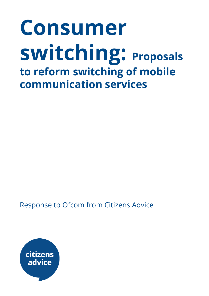# **Consumer switching: Proposals to reform switching of mobile communication services**

Response to Ofcom from Citizens Advice

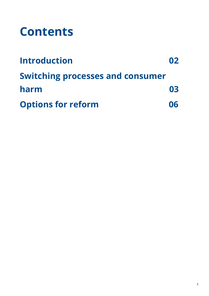### **Contents**

| <b>Introduction</b>                     | 02 |
|-----------------------------------------|----|
| <b>Switching processes and consumer</b> |    |
| harm                                    | 03 |
| <b>Options for reform</b>               | 06 |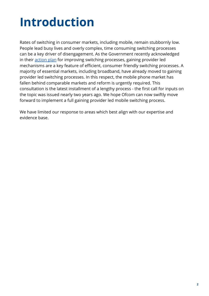### **Introduction**

Rates of switching in consumer markets, including mobile, remain stubbornly low. People lead busy lives and overly complex, time consuming switching processes can be a key driver of disengagement. As the Government recently acknowledged in their [action](https://www.gov.uk/government/uploads/system/uploads/attachment_data/file/525243/bis-16-254-switching-action-plan.pdf) plan for improving switching processes, gaining provider led mechanisms are a key feature of efficient, consumer friendly switching processes. A majority of essential markets, including broadband, have already moved to gaining provider led switching processes. In this respect, the mobile phone market has fallen behind comparable markets and reform is urgently required. This consultation is the latest installment of a lengthy process - the first call for inputs on the topic was issued nearly two years ago. We hope Ofcom can now swiftly move forward to implement a full gaining provider led mobile switching process.

We have limited our response to areas which best align with our expertise and evidence base.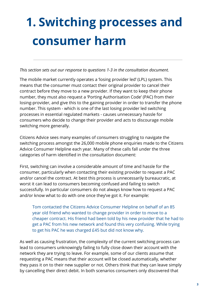## **1. Switching processes and consumer harm**

*This section sets out our response to questions 1-3 in the consultation document.*

The mobile market currently operates a 'losing provider led' (LPL) system. This means that the consumer must contact their original provider to cancel their contract before they move to a new provider. If they want to keep their phone number, they must also request a 'Porting Authorisation Code' (PAC) from their losing-provider, and give this to the gaining provider in order to transfer the phone number. This system - which is one of the last losing provider led switching processes in essential regulated markets - causes unnecessary hassle for consumers who decide to change their provider and acts to discourage mobile switching more generally.

Citizens Advice sees many examples of consumers struggling to navigate the switching process amongst the 26,000 mobile phone enquiries made to the Citizens Advice Consumer Helpline each year. Many of these calls fall under the three categories of harm identified in the consultation document:

First, switching can involve a considerable amount of time and hassle for the consumer, particularly when contacting their existing provider to request a PAC and/or cancel the contract. At best this process is unnecessarily bureaucratic, at worst it can lead to consumers becoming confused and failing to switch successfully. In particular consumers do not always know how to request a PAC and/or know what to do with one once they've got it. For example:

Tom contacted the Citizens Advice Consumer Helpline on behalf of an 85 year old friend who wanted to change provider in order to move to a cheaper contract. His friend had been told by his new provider that he had to get a PAC from his new network and found this very confusing. While trying to get his PAC he was charged £45 but did not know why.

As well as causing frustration, the complexity of the current switching process can lead to consumers unknowingly failing to fully close down their account with the network they are trying to leave. For example, some of our clients assume that requesting a PAC means that their account will be closed automatically, whether they pass it on to their new supplier or not. Others think that they can leave simply by cancelling their direct debit. In both scenarios consumers only discovered that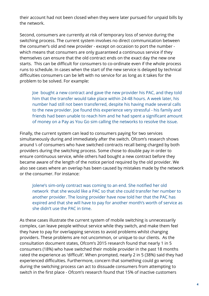their account had not been closed when they were later pursued for unpaid bills by the network.

Second, consumers are currently at risk of temporary loss of service during the switching process. The current system involves no direct communication between the consumer's old and new provider - except on occasion to port the number which means that consumers are only guaranteed a continuous service if they themselves can ensure that the old contract ends on the exact day the new one starts. This can be difficult for consumers to co-ordinate even if the whole process runs to schedule. In cases when the start of the new service is delayed by technical difficulties consumers can be left with no service for as long as it takes for the problem to be solved. For example:

Joe bought a new contract and gave the new provider his PAC, and they told him that the transfer would take place within 24-48 hours. A week later, his number had still not been transferred, despite his having made several calls to the new provider. Joe found this experience very stressful - his family and friends had been unable to reach him and he had spent a significant amount of money on a Pay as You Go sim calling the networks to resolve the issue.

Finally, the current system can lead to consumers paying for two services simultaneously during and immediately after the switch. Ofcom's research shows around ⅓of consumers who have switched contracts recall being charged by both providers during the switching process. Some chose to double pay in order to ensure continuous service, while others had bought a new contract before they became aware of the length of the notice period required by the old provider. We also see cases where an overlap has been caused by mistakes made by the network or the consumer. For instance:

Jolene's sim-only contract was coming to an end. She notified her old network that she would like a PAC so that she could transfer her number to another provider. The losing provider have now told her that the PAC has expired and that she will have to pay for another month's worth of service as she didn't use the PAC in time.

As these cases illustrate the current system of mobile switching is unnecessarily complex, can leave people without service while they switch, and make them feel they have to pay for overlapping services to avoid problems whilst changing providers. These problems are not uncommon, or unique to our clients. As the consultation document states, Ofcom's 2015 research found that nearly 1 in 5 consumers (18%) who have switched their mobile provider in the past 18 months rated the experience as 'difficult'. When prompted, nearly 2 in 5 (38%) said they had experienced difficulties. Furthermore, concern that something could go wrong during the switching process can act to dissuade consumers from attempting to switch in the first place - Ofcom's research found that 15% of inactive customers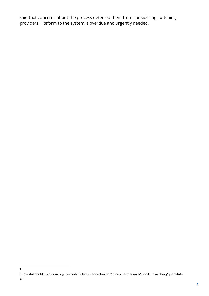said that concerns about the process deterred them from considering switching providers.<sup>1</sup> Reform to the system is overdue and urgently needed.

1

http://stakeholders.ofcom.org.uk/market-data-research/other/telecoms-research/mobile\_switching/quantitativ e/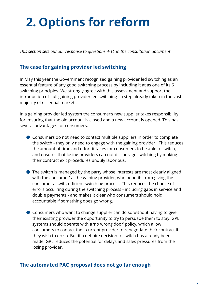### **2. Options for reform**

*This section sets out our response to questions 4-11 in the consultation document*

#### **The case for gaining provider led switching**

In May this year the Government recognised gaining provider led switching as an essential feature of any good switching process by including it at as one of its 6 switching principles. We strongly agree with this assessment and support the introduction of full gaining provider led switching - a step already taken in the vast majority of essential markets.

In a gaining provider led system the consumer's new supplier takes responsibility for ensuring that the old account is closed and a new account is opened. This has several advantages for consumers:

- Consumers do not need to contact multiple suppliers in order to complete the switch - they only need to engage with the gaining provider. This reduces the amount of time and effort it takes for consumers to be able to switch, and ensures that losing providers can not discourage switching by making their contract exit procedures unduly laborious.
- The switch is managed by the party whose interests are most clearly aligned with the consumer's - the gaining provider, who benefits from giving the consumer a swift, efficient switching process. This reduces the chance of errors occurring during the switching process - including gaps in service and double payments - and makes it clear who consumers should hold accountable if something does go wrong.
- Consumers who want to change supplier can do so without having to give their existing provider the opportunity to try to persuade them to stay. GPL systems should operate with a 'no wrong door' policy, which allow consumers to contact their current provider to renegotiate their contract if they wish to do so. But if a definite decision to switch has already been made, GPL reduces the potential for delays and sales pressures from the losing provider.

#### **The automated PAC proposal does not go far enough**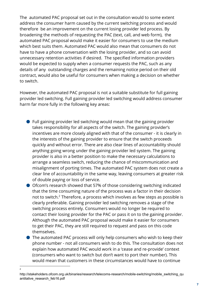The automated PAC proposal set out in the consultation would to some extent address the consumer harm caused by the current switching process and would therefore be an improvement on the current losing provider led process. By broadening the methods of requesting the PAC (text, call, and web form), the automated PAC proposal would make it easier for consumers to use the medium which best suits them. Automated PAC would also mean that consumers do not have to have a phone conversation with the losing provider, and so can avoid unnecessary retention activities if desired. The specified information providers would be expected to supply when a consumer requests the PAC, such as any details of any outstanding charges and the remaining notice period on their old contract, would also be useful for consumers when making a decision on whether to switch.

However, the automated PAC proposal is not a suitable substitute for full gaining provider led switching. Full gaining provider led switching would address consumer harm far more fully in the following key areas:

- Full gaining provider led switching would mean that the gaining provider takes responsibility for all aspects of the switch. The gaining provider's incentives are more closely aligned with that of the consumer - it is clearly in the interests of the gaining provider to ensure that the switch proceeds quickly and without error. There are also clear lines of accountability should anything going wrong under the gaining provider led system. The gaining provider is also in a better position to make the necessary calculations to arrange a seamless switch, reducing the chance of miscommunication and misalignment of porting times. The automated PAC system does not create a clear line of accountability in the same way, leaving consumers at greater risk of double paying or loss of service.
- Ofcom's research showed that 57% of those considering switching indicated that the time consuming nature of the process was a factor in their decision not to switch. $2$  Therefore, a process which involves as few steps as possible is clearly preferable. Gaining provider led switching removes a stage of the switching process entirely. Consumers would no longer be required to contact their losing provider for the PAC or pass it on to the gaining provider. Although the automated PAC proposal would make it easier for consumers to get their PAC, they are still required to request and pass on this code themselves.
- The automated PAC process will only help consumers who wish to keep their phone number - not all consumers wish to do this. The consultation does not explain how automated PAC would work in a 'cease and re-provide' context (consumers who want to switch but don't want to port their number). This would mean that customers in these circumstances would have to continue

2

http://stakeholders.ofcom.org.uk/binaries/research/telecoms-research/mobile-switching/mobile\_switching\_qu antitative\_research\_feb16.pdf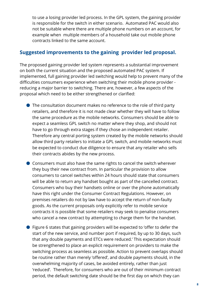to use a losing provider led process. In the GPL system, the gaining provider is responsible for the switch in either scenario. Automated PAC would also not be suitable where there are multiple phone numbers on an account, for example when multiple members of a household take out mobile phone contracts linked to the same account.

#### **Suggested improvements to the gaining provider led proposal.**

The proposed gaining provider led system represents a substantial improvement on both the current situation and the proposed automated PAC system. If implemented, full gaining provider led switching would help to prevent many of the difficulties consumers experience when switching their mobile phone provider reducing a major barrier to switching. There are, however, a few aspects of the proposal which need to be either strengthened or clarified:

- The consultation document makes no reference to the role of third party retailers, and therefore it is not made clear whether they will have to follow the same procedure as the mobile networks. Consumers should be able to expect a seamless GPL switch no matter where they shop, and should not have to go through extra stages if they chose an independent retailer. Therefore any central porting system created by the mobile networks should allow third party retailers to initiate a GPL switch, and mobile networks must be expected to conduct due diligence to ensure that any retailer who sells their contracts abides by the new process.
- Consumers must also have the same rights to cancel the switch wherever they buy their new contract from. In particular the provision to allow consumers to cancel switches within 24 hours should state that consumers will be able to return any handset bought as part of the cancelled contract. Consumers who buy their handsets online or over the phone automatically have this right under the Consumer Contract Regulations. However, on premises retailers do not by law have to accept the return of non-faulty goods. As the current proposals only explicitly refer to mobile service contracts it is possible that some retailers may seek to penalise consumers who cancel a new contract by attempting to charge them for the handset.
- Figure 6 states that gaining providers will be expected to 'offer to defer the start of the new service, and number port if required, by up to 30 days, such that any double payments and ETCs were reduced.' This expectation should be strengthened to place an explicit requirement on providers to make the switching process as seamless as possible. Action to prevent overlaps should be routine rather than merely 'offered', and double payments should, in the overwhelming majority of cases, be avoided entirely, rather than just 'reduced'. Therefore, for consumers who are out of their minimum contract period, the default switching date should be the first day on which they can